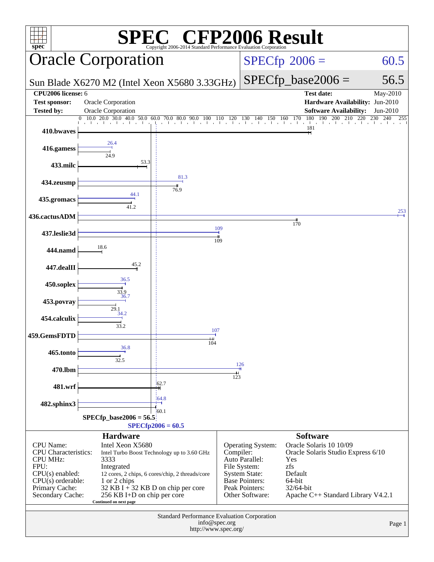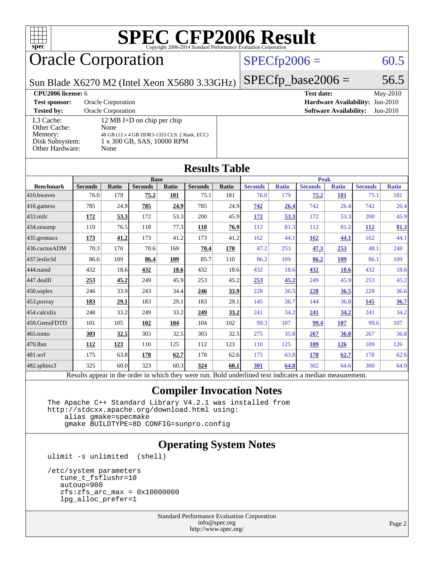

# Oracle Corporation

### $SPECfp2006 = 60.5$  $SPECfp2006 = 60.5$

Sun Blade X6270 M2 (Intel Xeon X5680 3.33GHz)

**[Test sponsor:](http://www.spec.org/auto/cpu2006/Docs/result-fields.html#Testsponsor)** Oracle Corporation **[Hardware Availability:](http://www.spec.org/auto/cpu2006/Docs/result-fields.html#HardwareAvailability)** Jun-2010 **[Tested by:](http://www.spec.org/auto/cpu2006/Docs/result-fields.html#Testedby)** Oracle Corporation **[Software Availability:](http://www.spec.org/auto/cpu2006/Docs/result-fields.html#SoftwareAvailability)** Jun-2010 [L3 Cache:](http://www.spec.org/auto/cpu2006/Docs/result-fields.html#L3Cache) 12 MB I+D on chip per chip<br>Other Cache: None [Other Cache:](http://www.spec.org/auto/cpu2006/Docs/result-fields.html#OtherCache) [Memory:](http://www.spec.org/auto/cpu2006/Docs/result-fields.html#Memory) 48 GB (12 x 4 GB DDR3-1333 CL9, 2 Rank, ECC) [Disk Subsystem:](http://www.spec.org/auto/cpu2006/Docs/result-fields.html#DiskSubsystem) 1 x 300 GB, SAS, 10000 RPM [Other Hardware:](http://www.spec.org/auto/cpu2006/Docs/result-fields.html#OtherHardware) None

 $SPECTp\_base2006 = 56.5$ **[CPU2006 license:](http://www.spec.org/auto/cpu2006/Docs/result-fields.html#CPU2006license)** 6 **[Test date:](http://www.spec.org/auto/cpu2006/Docs/result-fields.html#Testdate)** May-2010

**[Results Table](http://www.spec.org/auto/cpu2006/Docs/result-fields.html#ResultsTable)**

|                        | <b>Base</b>                                                                                              |              |                |       |                |       | <b>Peak</b>    |              |                |              |                |              |
|------------------------|----------------------------------------------------------------------------------------------------------|--------------|----------------|-------|----------------|-------|----------------|--------------|----------------|--------------|----------------|--------------|
| <b>Benchmark</b>       | <b>Seconds</b>                                                                                           | <b>Ratio</b> | <b>Seconds</b> | Ratio | <b>Seconds</b> | Ratio | <b>Seconds</b> | <b>Ratio</b> | <b>Seconds</b> | <b>Ratio</b> | <b>Seconds</b> | <b>Ratio</b> |
| 410.bwayes             | 76.0                                                                                                     | 179          | 75.2           | 181   | 75.1           | 181   | 76.0           | 179          | 75.2           | 181          | 75.1           | 181          |
| 416.gamess             | 785                                                                                                      | 24.9         | 785            | 24.9  | 785            | 24.9  | 742            | 26.4         | 742            | 26.4         | 742            | 26.4         |
| $ 433 \text{.}$ milc   | 172                                                                                                      | 53.3         | 172            | 53.3  | 200            | 45.9  | <u>172</u>     | 53.3         | 172            | 53.3         | 200            | 45.9         |
| $434$ . zeusmp         | 119                                                                                                      | 76.5         | 118            | 77.3  | 118            | 76.9  | 112            | 81.3         | 112            | 81.2         | 112            | 81.3         |
| 435.gromacs            | 173                                                                                                      | 41.2         | 173            | 41.2  | 173            | 41.2  | 162            | 44.1         | 162            | 44.1         | 162            | 44.1         |
| 436.cactusADM          | 70.3                                                                                                     | 170          | 70.6           | 169   | 70.4           | 170   | 47.2           | 253          | 47.3           | 253          | 48.1           | 248          |
| 437.leslie3d           | 86.6                                                                                                     | 109          | 86.4           | 109   | 85.7           | 110   | 86.2           | 109          | 86.2           | 109          | 86.1           | 109          |
| 444.namd               | 432                                                                                                      | 18.6         | 432            | 18.6  | 432            | 18.6  | 432            | 18.6         | 432            | 18.6         | 432            | 18.6         |
| $ 447 \text{.}$ dealII | 253                                                                                                      | 45.2         | 249            | 45.9  | 253            | 45.2  | 253            | 45.2         | 249            | 45.9         | 253            | 45.2         |
| $450$ .soplex          | 246                                                                                                      | 33.9         | 243            | 34.4  | 246            | 33.9  | 228            | 36.5         | 228            | 36.5         | 228            | 36.6         |
| $453$ .povray          | 183                                                                                                      | 29.1         | 183            | 29.1  | 183            | 29.1  | 145            | 36.7         | 144            | 36.8         | 145            | 36.7         |
| $454$ .calculix        | 248                                                                                                      | 33.2         | 249            | 33.2  | 249            | 33.2  | 241            | 34.2         | 241            | 34.2         | 241            | 34.2         |
| 459.GemsFDTD           | 101                                                                                                      | 105          | 102            | 104   | 104            | 102   | 99.3           | 107          | 99.4           | 107          | 99.6           | 107          |
| $ 465$ .tonto          | 303                                                                                                      | 32.5         | 303            | 32.5  | 303            | 32.5  | 275            | 35.8         | 267            | 36.8         | 267            | 36.8         |
| 470.1bm                | 112                                                                                                      | 123          | 110            | 125   | 112            | 123   | 110            | 125          | <b>109</b>     | 126          | 109            | 126          |
| $ 481$ .wrf            | 175                                                                                                      | 63.8         | 178            | 62.7  | 178            | 62.6  | 175            | 63.8         | 178            | 62.7         | 178            | 62.6         |
| $482$ .sphinx $3$      | 325                                                                                                      | 60.0         | 323            | 60.3  | 324            | 60.1  | 301            | 64.8         | 302            | 64.6         | 300            | 64.9         |
|                        | Results appear in the order in which they were run. Bold underlined text indicates a median measurement. |              |                |       |                |       |                |              |                |              |                |              |

### **[Compiler Invocation Notes](http://www.spec.org/auto/cpu2006/Docs/result-fields.html#CompilerInvocationNotes)**

 The Apache C++ Standard Library V4.2.1 was installed from <http://stdcxx.apache.org/download.html> using:

 alias gmake=specmake gmake BUILDTYPE=8D CONFIG=sunpro.config

### **[Operating System Notes](http://www.spec.org/auto/cpu2006/Docs/result-fields.html#OperatingSystemNotes)**

ulimit -s unlimited (shell)

```
 /etc/system parameters
  tune_t_fsflushr=10
  autoup=900
   zfs:zfs_arc_max = 0x10000000
   lpg_alloc_prefer=1
```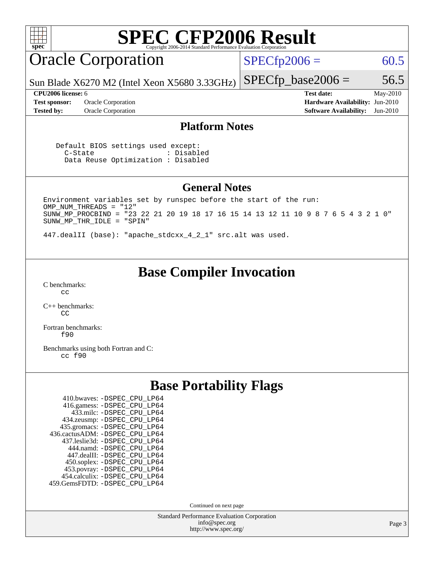

Continued on next page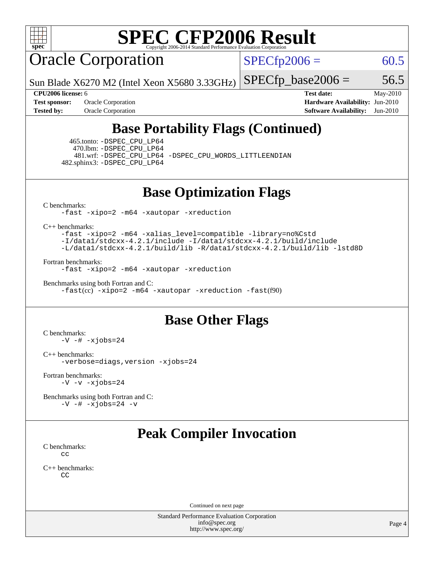

Oracle Corporation

 $SPECfp2006 = 60.5$  $SPECfp2006 = 60.5$ 

Sun Blade X6270 M2 (Intel Xeon X5680 3.33GHz)

 $SPECTp\_base2006 = 56.5$ 

**[Test sponsor:](http://www.spec.org/auto/cpu2006/Docs/result-fields.html#Testsponsor)** Oracle Corporation **[Hardware Availability:](http://www.spec.org/auto/cpu2006/Docs/result-fields.html#HardwareAvailability)** Jun-2010

**[CPU2006 license:](http://www.spec.org/auto/cpu2006/Docs/result-fields.html#CPU2006license)** 6 **[Test date:](http://www.spec.org/auto/cpu2006/Docs/result-fields.html#Testdate)** May-2010 **[Tested by:](http://www.spec.org/auto/cpu2006/Docs/result-fields.html#Testedby)** Oracle Corporation **[Software Availability:](http://www.spec.org/auto/cpu2006/Docs/result-fields.html#SoftwareAvailability)** Jun-2010

## **[Base Portability Flags \(Continued\)](http://www.spec.org/auto/cpu2006/Docs/result-fields.html#BasePortabilityFlags)**

 465.tonto: [-DSPEC\\_CPU\\_LP64](http://www.spec.org/cpu2006/results/res2010q3/cpu2006-20100816-12956.flags.html#suite_basePORTABILITY465_tonto_DSPEC_CPU_LP64) 470.lbm: [-DSPEC\\_CPU\\_LP64](http://www.spec.org/cpu2006/results/res2010q3/cpu2006-20100816-12956.flags.html#suite_basePORTABILITY470_lbm_DSPEC_CPU_LP64) 482.sphinx3: [-DSPEC\\_CPU\\_LP64](http://www.spec.org/cpu2006/results/res2010q3/cpu2006-20100816-12956.flags.html#suite_basePORTABILITY482_sphinx3_DSPEC_CPU_LP64)

481.wrf: [-DSPEC\\_CPU\\_LP64](http://www.spec.org/cpu2006/results/res2010q3/cpu2006-20100816-12956.flags.html#suite_basePORTABILITY481_wrf_DSPEC_CPU_LP64) [-DSPEC\\_CPU\\_WORDS\\_LITTLEENDIAN](http://www.spec.org/cpu2006/results/res2010q3/cpu2006-20100816-12956.flags.html#b481.wrf_baseCPORTABILITY_DSPEC_CPU_WORDS_LITTLEENDIAN)

### **[Base Optimization Flags](http://www.spec.org/auto/cpu2006/Docs/result-fields.html#BaseOptimizationFlags)**

[C benchmarks](http://www.spec.org/auto/cpu2006/Docs/result-fields.html#Cbenchmarks):

[-fast](http://www.spec.org/cpu2006/results/res2010q3/cpu2006-20100816-12956.flags.html#user_CCbase_fast_cc) [-xipo=2](http://www.spec.org/cpu2006/results/res2010q3/cpu2006-20100816-12956.flags.html#user_CCbase_xipo_5e3708e8f61bc7c7cade0f8c4dada1db) [-m64](http://www.spec.org/cpu2006/results/res2010q3/cpu2006-20100816-12956.flags.html#user_CCbase_F-m64) [-xautopar](http://www.spec.org/cpu2006/results/res2010q3/cpu2006-20100816-12956.flags.html#user_CCbase_F-xautopar) [-xreduction](http://www.spec.org/cpu2006/results/res2010q3/cpu2006-20100816-12956.flags.html#user_CCbase_F-xreduction)

[C++ benchmarks:](http://www.spec.org/auto/cpu2006/Docs/result-fields.html#CXXbenchmarks)

[-fast](http://www.spec.org/cpu2006/results/res2010q3/cpu2006-20100816-12956.flags.html#user_CXXbase_fast_CC) [-xipo=2](http://www.spec.org/cpu2006/results/res2010q3/cpu2006-20100816-12956.flags.html#user_CXXbase_xipo_5e3708e8f61bc7c7cade0f8c4dada1db) [-m64](http://www.spec.org/cpu2006/results/res2010q3/cpu2006-20100816-12956.flags.html#user_CXXbase_F-m64) [-xalias\\_level=compatible](http://www.spec.org/cpu2006/results/res2010q3/cpu2006-20100816-12956.flags.html#user_CXXbase_xalias_level_CC_96f159d8d9a7543292667cc08592323e) [-library=no%Cstd](http://www.spec.org/cpu2006/results/res2010q3/cpu2006-20100816-12956.flags.html#user_CXXbase_libnostd_da34b52876dd9b1697776043cd006b82) [-I/data1/stdcxx-4.2.1/include](http://www.spec.org/cpu2006/results/res2010q3/cpu2006-20100816-12956.flags.html#user_CXXbase_Istd_4fc7ad00c9c434abcb7de97d85ed6ad2) [-I/data1/stdcxx-4.2.1/build/include](http://www.spec.org/cpu2006/results/res2010q3/cpu2006-20100816-12956.flags.html#user_CXXbase_Istd_4b9c40c8918f57fee28a1200b57dc7cb) [-L/data1/stdcxx-4.2.1/build/lib](http://www.spec.org/cpu2006/results/res2010q3/cpu2006-20100816-12956.flags.html#user_CXXbase_Lstd_6add3e3fff8e2dc5dfe0d420dc2ed732) [-R/data1/stdcxx-4.2.1/build/lib](http://www.spec.org/cpu2006/results/res2010q3/cpu2006-20100816-12956.flags.html#user_CXXbase_Rstd_40c30b0b63436923f138f07b8376a63f) [-lstd8D](http://www.spec.org/cpu2006/results/res2010q3/cpu2006-20100816-12956.flags.html#user_CXXbase_F-lstd)

[Fortran benchmarks](http://www.spec.org/auto/cpu2006/Docs/result-fields.html#Fortranbenchmarks):

[-fast](http://www.spec.org/cpu2006/results/res2010q3/cpu2006-20100816-12956.flags.html#user_FCbase_fast_f90) [-xipo=2](http://www.spec.org/cpu2006/results/res2010q3/cpu2006-20100816-12956.flags.html#user_FCbase_xipo_5e3708e8f61bc7c7cade0f8c4dada1db) [-m64](http://www.spec.org/cpu2006/results/res2010q3/cpu2006-20100816-12956.flags.html#user_FCbase_F-m64) [-xautopar](http://www.spec.org/cpu2006/results/res2010q3/cpu2006-20100816-12956.flags.html#user_FCbase_F-xautopar) [-xreduction](http://www.spec.org/cpu2006/results/res2010q3/cpu2006-20100816-12956.flags.html#user_FCbase_F-xreduction)

```
Benchmarks using both Fortran and C: 
   -fast(cc) -xipo=2 -m64 -xautopar -xreduction -fast(f90)
```
### **[Base Other Flags](http://www.spec.org/auto/cpu2006/Docs/result-fields.html#BaseOtherFlags)**

[C benchmarks](http://www.spec.org/auto/cpu2006/Docs/result-fields.html#Cbenchmarks):  $-V$   $-$ #  $-x$ jobs=24

[C++ benchmarks:](http://www.spec.org/auto/cpu2006/Docs/result-fields.html#CXXbenchmarks) [-verbose=diags,version](http://www.spec.org/cpu2006/results/res2010q3/cpu2006-20100816-12956.flags.html#user_CXXbase_verbose_CC) [-xjobs=24](http://www.spec.org/cpu2006/results/res2010q3/cpu2006-20100816-12956.flags.html#user_CXXbase_xjobs_abd6ddc54c9060592217816ca032119c)

[Fortran benchmarks](http://www.spec.org/auto/cpu2006/Docs/result-fields.html#Fortranbenchmarks):  $-V$   $-v$   $-xjobs=24$ 

[Benchmarks using both Fortran and C](http://www.spec.org/auto/cpu2006/Docs/result-fields.html#BenchmarksusingbothFortranandC):  $-V$  [-#](http://www.spec.org/cpu2006/results/res2010q3/cpu2006-20100816-12956.flags.html#user_CC_FCbase_verbose_cc)  $-xjobs=24$  [-v](http://www.spec.org/cpu2006/results/res2010q3/cpu2006-20100816-12956.flags.html#user_CC_FCbase_verbose_f90)

## **[Peak Compiler Invocation](http://www.spec.org/auto/cpu2006/Docs/result-fields.html#PeakCompilerInvocation)**

[C benchmarks](http://www.spec.org/auto/cpu2006/Docs/result-fields.html#Cbenchmarks): [cc](http://www.spec.org/cpu2006/results/res2010q3/cpu2006-20100816-12956.flags.html#user_CCpeak_solaris_studio_cc)

[C++ benchmarks:](http://www.spec.org/auto/cpu2006/Docs/result-fields.html#CXXbenchmarks)  $C<sub>C</sub>$ 

Continued on next page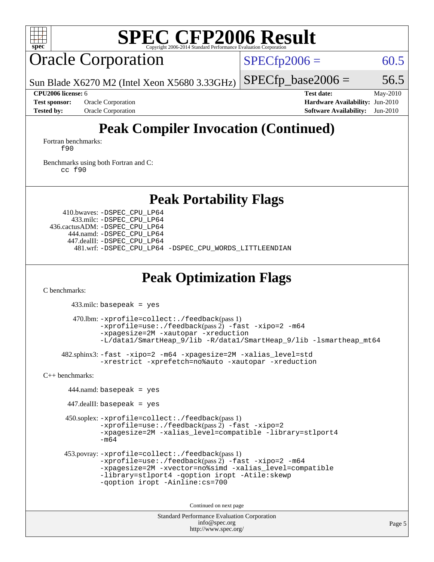

# Oracle Corporation

 $SPECfp2006 = 60.5$  $SPECfp2006 = 60.5$ 

Sun Blade X6270 M2 (Intel Xeon X5680 3.33GHz)

 $SPECTp\_base2006 = 56.5$ 

**[CPU2006 license:](http://www.spec.org/auto/cpu2006/Docs/result-fields.html#CPU2006license)** 6 **[Test date:](http://www.spec.org/auto/cpu2006/Docs/result-fields.html#Testdate)** May-2010 **[Test sponsor:](http://www.spec.org/auto/cpu2006/Docs/result-fields.html#Testsponsor)** Oracle Corporation **[Hardware Availability:](http://www.spec.org/auto/cpu2006/Docs/result-fields.html#HardwareAvailability)** Jun-2010 **[Tested by:](http://www.spec.org/auto/cpu2006/Docs/result-fields.html#Testedby)** Oracle Corporation **[Software Availability:](http://www.spec.org/auto/cpu2006/Docs/result-fields.html#SoftwareAvailability)** Jun-2010

# **[Peak Compiler Invocation \(Continued\)](http://www.spec.org/auto/cpu2006/Docs/result-fields.html#PeakCompilerInvocation)**

[Fortran benchmarks](http://www.spec.org/auto/cpu2006/Docs/result-fields.html#Fortranbenchmarks): [f90](http://www.spec.org/cpu2006/results/res2010q3/cpu2006-20100816-12956.flags.html#user_FCpeak_solaris_studio_f90)

[Benchmarks using both Fortran and C](http://www.spec.org/auto/cpu2006/Docs/result-fields.html#BenchmarksusingbothFortranandC): [cc](http://www.spec.org/cpu2006/results/res2010q3/cpu2006-20100816-12956.flags.html#user_CC_FCpeak_solaris_studio_cc) [f90](http://www.spec.org/cpu2006/results/res2010q3/cpu2006-20100816-12956.flags.html#user_CC_FCpeak_solaris_studio_f90)

### **[Peak Portability Flags](http://www.spec.org/auto/cpu2006/Docs/result-fields.html#PeakPortabilityFlags)**

 410.bwaves: [-DSPEC\\_CPU\\_LP64](http://www.spec.org/cpu2006/results/res2010q3/cpu2006-20100816-12956.flags.html#suite_peakPORTABILITY410_bwaves_DSPEC_CPU_LP64) 433.milc: [-DSPEC\\_CPU\\_LP64](http://www.spec.org/cpu2006/results/res2010q3/cpu2006-20100816-12956.flags.html#suite_peakPORTABILITY433_milc_DSPEC_CPU_LP64) 436.cactusADM: [-DSPEC\\_CPU\\_LP64](http://www.spec.org/cpu2006/results/res2010q3/cpu2006-20100816-12956.flags.html#suite_peakPORTABILITY436_cactusADM_DSPEC_CPU_LP64) 444.namd: [-DSPEC\\_CPU\\_LP64](http://www.spec.org/cpu2006/results/res2010q3/cpu2006-20100816-12956.flags.html#suite_peakPORTABILITY444_namd_DSPEC_CPU_LP64) 447.dealII: [-DSPEC\\_CPU\\_LP64](http://www.spec.org/cpu2006/results/res2010q3/cpu2006-20100816-12956.flags.html#suite_peakPORTABILITY447_dealII_DSPEC_CPU_LP64) 481.wrf: [-DSPEC\\_CPU\\_LP64](http://www.spec.org/cpu2006/results/res2010q3/cpu2006-20100816-12956.flags.html#suite_peakPORTABILITY481_wrf_DSPEC_CPU_LP64) [-DSPEC\\_CPU\\_WORDS\\_LITTLEENDIAN](http://www.spec.org/cpu2006/results/res2010q3/cpu2006-20100816-12956.flags.html#b481.wrf_peakCPORTABILITY_DSPEC_CPU_WORDS_LITTLEENDIAN)

## **[Peak Optimization Flags](http://www.spec.org/auto/cpu2006/Docs/result-fields.html#PeakOptimizationFlags)**

[C benchmarks](http://www.spec.org/auto/cpu2006/Docs/result-fields.html#Cbenchmarks):

433.milc: basepeak = yes

```
 470.lbm: -xprofile=collect:./feedback(pass 1)
        -xprofile=use:./feedback-fast-xipo=2-m64
        -xpagesize=2M -xautopar -xreduction
        -L/data1/SmartHeap_9/lib -R/data1/SmartHeap_9/lib -lsmartheap_mt64
482.sphinx3: -fast -xipo=2 -m64 -xpagesize=2M -xalias_level=std
```

```
-xrestrict -xprefetch=no%auto -xautopar -xreduction
```
[C++ benchmarks:](http://www.spec.org/auto/cpu2006/Docs/result-fields.html#CXXbenchmarks)

```
 444.namd: basepeak = yes
```
447.dealII: basepeak = yes

```
 450.soplex: -xprofile=collect:./feedback(pass 1)
       -xprofile=use:./feedback(pass 2) -fast -xipo=2
       -xpagesize=2M -xalias_level=compatible -library=stlport4
       -m64
```

```
 453.povray: -xprofile=collect:./feedback(pass 1)
       -xprofile=use:./feedback-fast-xipo=2-m64
       -xpagesize=2M -xvector=no%simd -xalias_level=compatible
       -library=stlport4 -qoption iropt -Atile:skewp
       -qoption iropt -Ainline:cs=700
```
Continued on next page

```
Standard Performance Evaluation Corporation
             info@spec.org
          http://www.spec.org/
```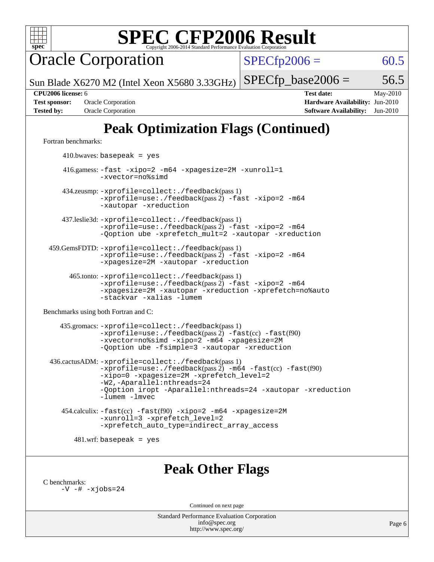

Oracle Corporation

 $SPECfp2006 = 60.5$  $SPECfp2006 = 60.5$ 

Sun Blade X6270 M2 (Intel Xeon X5680 3.33GHz)

 $SPECTp\_base2006 = 56.5$ 

**[Tested by:](http://www.spec.org/auto/cpu2006/Docs/result-fields.html#Testedby)** Oracle Corporation **[Software Availability:](http://www.spec.org/auto/cpu2006/Docs/result-fields.html#SoftwareAvailability)** Jun-2010

**[CPU2006 license:](http://www.spec.org/auto/cpu2006/Docs/result-fields.html#CPU2006license)** 6 **[Test date:](http://www.spec.org/auto/cpu2006/Docs/result-fields.html#Testdate)** May-2010 **[Test sponsor:](http://www.spec.org/auto/cpu2006/Docs/result-fields.html#Testsponsor)** Oracle Corporation **[Hardware Availability:](http://www.spec.org/auto/cpu2006/Docs/result-fields.html#HardwareAvailability)** Jun-2010

# **[Peak Optimization Flags \(Continued\)](http://www.spec.org/auto/cpu2006/Docs/result-fields.html#PeakOptimizationFlags)**

[Fortran benchmarks](http://www.spec.org/auto/cpu2006/Docs/result-fields.html#Fortranbenchmarks):

 $410.bwaves: basepeak = yes$  416.gamess: [-fast](http://www.spec.org/cpu2006/results/res2010q3/cpu2006-20100816-12956.flags.html#user_peakOPTIMIZE416_gamess_fast_f90) [-xipo=2](http://www.spec.org/cpu2006/results/res2010q3/cpu2006-20100816-12956.flags.html#user_peakOPTIMIZE416_gamess_xipo_5e3708e8f61bc7c7cade0f8c4dada1db) [-m64](http://www.spec.org/cpu2006/results/res2010q3/cpu2006-20100816-12956.flags.html#user_peakOPTIMIZE416_gamess_F-m64) [-xpagesize=2M](http://www.spec.org/cpu2006/results/res2010q3/cpu2006-20100816-12956.flags.html#user_peakOPTIMIZE416_gamess_xpagesize_f50b67cca4ef3b24ae5e9aaf0af70b7e) [-xunroll=1](http://www.spec.org/cpu2006/results/res2010q3/cpu2006-20100816-12956.flags.html#user_peakOPTIMIZE416_gamess_xunroll_eaf2f69530c229377fe8e7f42ab5c10e) [-xvector=no%simd](http://www.spec.org/cpu2006/results/res2010q3/cpu2006-20100816-12956.flags.html#user_peakOPTIMIZE416_gamess_xvector_2196fdf3a3baef4eab489495c9b85ea6) 434.zeusmp: [-xprofile=collect:./feedback](http://www.spec.org/cpu2006/results/res2010q3/cpu2006-20100816-12956.flags.html#user_peakPASS1_FFLAGSPASS1_LDFLAGS434_zeusmp_xprofile_collect_eb7600ff49c156e08b79eda146723f7d)(pass 1) [-xprofile=use:./feedback](http://www.spec.org/cpu2006/results/res2010q3/cpu2006-20100816-12956.flags.html#user_peakPASS2_FFLAGSPASS2_LDFLAGS434_zeusmp_xprofile_use_2c7da09021590254e061b7043891e3f2)(pass 2) [-fast](http://www.spec.org/cpu2006/results/res2010q3/cpu2006-20100816-12956.flags.html#user_peakOPTIMIZE434_zeusmp_fast_f90) [-xipo=2](http://www.spec.org/cpu2006/results/res2010q3/cpu2006-20100816-12956.flags.html#user_peakOPTIMIZE434_zeusmp_xipo_5e3708e8f61bc7c7cade0f8c4dada1db) [-m64](http://www.spec.org/cpu2006/results/res2010q3/cpu2006-20100816-12956.flags.html#user_peakOPTIMIZE434_zeusmp_F-m64) [-xautopar](http://www.spec.org/cpu2006/results/res2010q3/cpu2006-20100816-12956.flags.html#user_peakEXTRA_OPTIMIZE434_zeusmp_F-xautopar) [-xreduction](http://www.spec.org/cpu2006/results/res2010q3/cpu2006-20100816-12956.flags.html#user_peakEXTRA_OPTIMIZE434_zeusmp_F-xreduction) 437.leslie3d: [-xprofile=collect:./feedback](http://www.spec.org/cpu2006/results/res2010q3/cpu2006-20100816-12956.flags.html#user_peakPASS1_FFLAGSPASS1_LDFLAGS437_leslie3d_xprofile_collect_eb7600ff49c156e08b79eda146723f7d)(pass 1)  $-$ xprofile=use:./feedback(pass 2)  $-$ fast  $-$ xipo=2  $-$ m64 [-Qoption ube -xprefetch\\_mult=2](http://www.spec.org/cpu2006/results/res2010q3/cpu2006-20100816-12956.flags.html#user_peakOPTIMIZE437_leslie3d_xprefetch_mult_979b6207348c3bacab702ce86600ed98) [-xautopar](http://www.spec.org/cpu2006/results/res2010q3/cpu2006-20100816-12956.flags.html#user_peakEXTRA_OPTIMIZE437_leslie3d_F-xautopar) [-xreduction](http://www.spec.org/cpu2006/results/res2010q3/cpu2006-20100816-12956.flags.html#user_peakEXTRA_OPTIMIZE437_leslie3d_F-xreduction) 459.GemsFDTD: [-xprofile=collect:./feedback](http://www.spec.org/cpu2006/results/res2010q3/cpu2006-20100816-12956.flags.html#user_peakPASS1_FFLAGSPASS1_LDFLAGS459_GemsFDTD_xprofile_collect_eb7600ff49c156e08b79eda146723f7d)(pass 1)  $-$ xprofile=use:./feedback(pass 2)  $-$ fast  $-$ xipo=2  $-$ m64 [-xpagesize=2M](http://www.spec.org/cpu2006/results/res2010q3/cpu2006-20100816-12956.flags.html#user_peakOPTIMIZE459_GemsFDTD_xpagesize_f50b67cca4ef3b24ae5e9aaf0af70b7e) [-xautopar](http://www.spec.org/cpu2006/results/res2010q3/cpu2006-20100816-12956.flags.html#user_peakOPTIMIZE459_GemsFDTD_F-xautopar) [-xreduction](http://www.spec.org/cpu2006/results/res2010q3/cpu2006-20100816-12956.flags.html#user_peakOPTIMIZE459_GemsFDTD_F-xreduction) 465.tonto: [-xprofile=collect:./feedback](http://www.spec.org/cpu2006/results/res2010q3/cpu2006-20100816-12956.flags.html#user_peakPASS1_FFLAGSPASS1_LDFLAGS465_tonto_xprofile_collect_eb7600ff49c156e08b79eda146723f7d)(pass 1) [-xprofile=use:./feedback](http://www.spec.org/cpu2006/results/res2010q3/cpu2006-20100816-12956.flags.html#user_peakPASS2_FFLAGSPASS2_LDFLAGS465_tonto_xprofile_use_2c7da09021590254e061b7043891e3f2)(pass 2) [-fast](http://www.spec.org/cpu2006/results/res2010q3/cpu2006-20100816-12956.flags.html#user_peakOPTIMIZE465_tonto_fast_f90) [-xipo=2](http://www.spec.org/cpu2006/results/res2010q3/cpu2006-20100816-12956.flags.html#user_peakOPTIMIZE465_tonto_xipo_5e3708e8f61bc7c7cade0f8c4dada1db) [-m64](http://www.spec.org/cpu2006/results/res2010q3/cpu2006-20100816-12956.flags.html#user_peakOPTIMIZE465_tonto_F-m64) [-xpagesize=2M](http://www.spec.org/cpu2006/results/res2010q3/cpu2006-20100816-12956.flags.html#user_peakOPTIMIZE465_tonto_xpagesize_f50b67cca4ef3b24ae5e9aaf0af70b7e) [-xautopar](http://www.spec.org/cpu2006/results/res2010q3/cpu2006-20100816-12956.flags.html#user_peakOPTIMIZE465_tonto_F-xautopar) [-xreduction](http://www.spec.org/cpu2006/results/res2010q3/cpu2006-20100816-12956.flags.html#user_peakOPTIMIZE465_tonto_F-xreduction) [-xprefetch=no%auto](http://www.spec.org/cpu2006/results/res2010q3/cpu2006-20100816-12956.flags.html#user_peakOPTIMIZE465_tonto_xprefetch_aadf369b144f677b141e4051b7b2a0c9) [-stackvar](http://www.spec.org/cpu2006/results/res2010q3/cpu2006-20100816-12956.flags.html#user_peakOPTIMIZE465_tonto_F-stackvar) [-xalias](http://www.spec.org/cpu2006/results/res2010q3/cpu2006-20100816-12956.flags.html#user_peakFOPTIMIZE465_tonto_xalias) [-lumem](http://www.spec.org/cpu2006/results/res2010q3/cpu2006-20100816-12956.flags.html#user_peakEXTRA_LIBS465_tonto_F-lumem) [Benchmarks using both Fortran and C](http://www.spec.org/auto/cpu2006/Docs/result-fields.html#BenchmarksusingbothFortranandC): 435.gromacs: [-xprofile=collect:./feedback](http://www.spec.org/cpu2006/results/res2010q3/cpu2006-20100816-12956.flags.html#user_peakPASS1_CFLAGSPASS1_FFLAGSPASS1_LDFLAGS435_gromacs_xprofile_collect_eb7600ff49c156e08b79eda146723f7d)(pass 1) [-xprofile=use:./feedback](http://www.spec.org/cpu2006/results/res2010q3/cpu2006-20100816-12956.flags.html#user_peakPASS2_CFLAGSPASS2_FFLAGSPASS2_LDFLAGS435_gromacs_xprofile_use_2c7da09021590254e061b7043891e3f2)(pass 2) [-fast](http://www.spec.org/cpu2006/results/res2010q3/cpu2006-20100816-12956.flags.html#user_peakOPTIMIZE435_gromacs_fast_f90)(cc) -fast(f90) [-xvector=no%simd](http://www.spec.org/cpu2006/results/res2010q3/cpu2006-20100816-12956.flags.html#user_peakOPTIMIZE435_gromacs_xvector_2196fdf3a3baef4eab489495c9b85ea6) [-xipo=2](http://www.spec.org/cpu2006/results/res2010q3/cpu2006-20100816-12956.flags.html#user_peakOPTIMIZE435_gromacs_xipo_5e3708e8f61bc7c7cade0f8c4dada1db) [-m64](http://www.spec.org/cpu2006/results/res2010q3/cpu2006-20100816-12956.flags.html#user_peakOPTIMIZE435_gromacs_F-m64) [-xpagesize=2M](http://www.spec.org/cpu2006/results/res2010q3/cpu2006-20100816-12956.flags.html#user_peakOPTIMIZE435_gromacs_xpagesize_f50b67cca4ef3b24ae5e9aaf0af70b7e) [-Qoption ube -fsimple=3](http://www.spec.org/cpu2006/results/res2010q3/cpu2006-20100816-12956.flags.html#user_peakFOPTIMIZE435_gromacs_fsimple3) [-xautopar](http://www.spec.org/cpu2006/results/res2010q3/cpu2006-20100816-12956.flags.html#user_peakEXTRA_OPTIMIZE435_gromacs_F-xautopar) [-xreduction](http://www.spec.org/cpu2006/results/res2010q3/cpu2006-20100816-12956.flags.html#user_peakEXTRA_OPTIMIZE435_gromacs_F-xreduction) 436.cactusADM: [-xprofile=collect:./feedback](http://www.spec.org/cpu2006/results/res2010q3/cpu2006-20100816-12956.flags.html#user_peakPASS1_CFLAGSPASS1_FFLAGSPASS1_LDFLAGS436_cactusADM_xprofile_collect_eb7600ff49c156e08b79eda146723f7d)(pass 1)  $-$ xprofile=use:./feedback(pass 2)  $-m64$   $-fast(cc)$  $-fast(cc)$   $-fast(f90)$ [-xipo=0](http://www.spec.org/cpu2006/results/res2010q3/cpu2006-20100816-12956.flags.html#user_peakOPTIMIZE436_cactusADM_xipo_ffc6258d3317cb9ac39273bb1552285a) [-xpagesize=2M](http://www.spec.org/cpu2006/results/res2010q3/cpu2006-20100816-12956.flags.html#user_peakOPTIMIZE436_cactusADM_xpagesize_f50b67cca4ef3b24ae5e9aaf0af70b7e) [-xprefetch\\_level=2](http://www.spec.org/cpu2006/results/res2010q3/cpu2006-20100816-12956.flags.html#user_peakOPTIMIZE436_cactusADM_xprefetch_level_a95d45b25f6cde09b31d400468e2d02f) [-W2,-Aparallel:nthreads=24](http://www.spec.org/cpu2006/results/res2010q3/cpu2006-20100816-12956.flags.html#user_peakCOPTIMIZE436_cactusADM_Aparallel:nthreads_ffe7ac36998fde161dab597486cf39f7) [-Qoption iropt -Aparallel:nthreads=24](http://www.spec.org/cpu2006/results/res2010q3/cpu2006-20100816-12956.flags.html#user_peakFOPTIMIZE436_cactusADM_Aparallel:nthreads_0a2e21fb3e557933e20e1cb82735a258) [-xautopar](http://www.spec.org/cpu2006/results/res2010q3/cpu2006-20100816-12956.flags.html#user_peakEXTRA_OPTIMIZE436_cactusADM_F-xautopar) [-xreduction](http://www.spec.org/cpu2006/results/res2010q3/cpu2006-20100816-12956.flags.html#user_peakEXTRA_OPTIMIZE436_cactusADM_F-xreduction) [-lumem](http://www.spec.org/cpu2006/results/res2010q3/cpu2006-20100816-12956.flags.html#user_peakEXTRA_LIBS436_cactusADM_F-lumem) [-lmvec](http://www.spec.org/cpu2006/results/res2010q3/cpu2006-20100816-12956.flags.html#user_peakEXTRA_LIBS436_cactusADM_F-lmvec) 454.calculix: [-fast](http://www.spec.org/cpu2006/results/res2010q3/cpu2006-20100816-12956.flags.html#user_peakOPTIMIZE454_calculix_fast_cc)(cc) [-fast](http://www.spec.org/cpu2006/results/res2010q3/cpu2006-20100816-12956.flags.html#user_peakOPTIMIZE454_calculix_fast_f90)(f90) [-xipo=2](http://www.spec.org/cpu2006/results/res2010q3/cpu2006-20100816-12956.flags.html#user_peakOPTIMIZE454_calculix_xipo_5e3708e8f61bc7c7cade0f8c4dada1db) [-m64](http://www.spec.org/cpu2006/results/res2010q3/cpu2006-20100816-12956.flags.html#user_peakOPTIMIZE454_calculix_F-m64) [-xpagesize=2M](http://www.spec.org/cpu2006/results/res2010q3/cpu2006-20100816-12956.flags.html#user_peakOPTIMIZE454_calculix_xpagesize_f50b67cca4ef3b24ae5e9aaf0af70b7e) [-xunroll=3](http://www.spec.org/cpu2006/results/res2010q3/cpu2006-20100816-12956.flags.html#user_peakEXTRA_OPTIMIZE454_calculix_xunroll_9321122b48840c65876e9c8440608bf5) [-xprefetch\\_level=2](http://www.spec.org/cpu2006/results/res2010q3/cpu2006-20100816-12956.flags.html#user_peakEXTRA_OPTIMIZE454_calculix_xprefetch_level_a95d45b25f6cde09b31d400468e2d02f) [-xprefetch\\_auto\\_type=indirect\\_array\\_access](http://www.spec.org/cpu2006/results/res2010q3/cpu2006-20100816-12956.flags.html#user_peakEXTRA_OPTIMIZE454_calculix_F-xprefetch_auto_type:indirect_array_access)  $481.$ wrf: basepeak = yes

### **[Peak Other Flags](http://www.spec.org/auto/cpu2006/Docs/result-fields.html#PeakOtherFlags)**

[C benchmarks](http://www.spec.org/auto/cpu2006/Docs/result-fields.html#Cbenchmarks):

 $-V$   $-$ #  $-xjobs=24$ 

Continued on next page